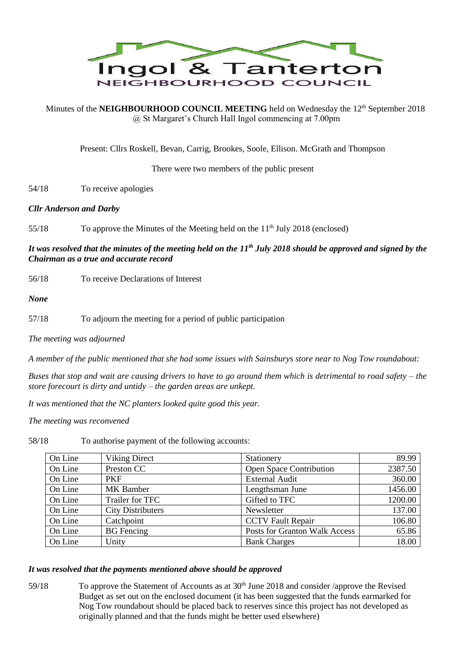

Minutes of the **NEIGHBOURHOOD COUNCIL MEETING** held on Wednesday the 12<sup>th</sup> September 2018 @ St Margaret's Church Hall Ingol commencing at 7.00pm

Present: Cllrs Roskell, Bevan, Carrig, Brookes, Soole, Ellison. McGrath and Thompson

There were two members of the public present

54/18 To receive apologies

## *Cllr Anderson and Darby*

55/18 To approve the Minutes of the Meeting held on the 11<sup>th</sup> July 2018 (enclosed)

*It was resolved that the minutes of the meeting held on the 11th July 2018 should be approved and signed by the Chairman as a true and accurate record*

56/18 To receive Declarations of Interest

*None*

57/18 To adjourn the meeting for a period of public participation

*The meeting was adjourned*

*A member of the public mentioned that she had some issues with Sainsburys store near to Nog Tow roundabout:*

*Buses that stop and wait are causing drivers to have to go around them which is detrimental to road safety – the store forecourt is dirty and untidy – the garden areas are unkept.*

*It was mentioned that the NC planters looked quite good this year.*

*The meeting was reconvened* 

58/18 To authorise payment of the following accounts:

| On Line | <b>Viking Direct</b>     | Stationery                           | 89.99   |
|---------|--------------------------|--------------------------------------|---------|
| On Line | Preston CC               | Open Space Contribution              | 2387.50 |
| On Line | <b>PKF</b>               | <b>External Audit</b>                | 360.00  |
| On Line | <b>MK</b> Bamber         | Lengthsman June                      | 1456.00 |
| On Line | Trailer for TFC          | Gifted to TFC                        | 1200.00 |
| On Line | <b>City Distributers</b> | Newsletter                           | 137.00  |
| On Line | Catchpoint               | <b>CCTV Fault Repair</b>             | 106.80  |
| On Line | <b>BG</b> Fencing        | <b>Posts for Granton Walk Access</b> | 65.86   |
| On Line | Unity                    | <b>Bank Charges</b>                  | 18.00   |

## *It was resolved that the payments mentioned above should be approved*

59/18 To approve the Statement of Accounts as at 30<sup>th</sup> June 2018 and consider /approve the Revised Budget as set out on the enclosed document (it has been suggested that the funds earmarked for Nog Tow roundabout should be placed back to reserves since this project has not developed as originally planned and that the funds might be better used elsewhere)